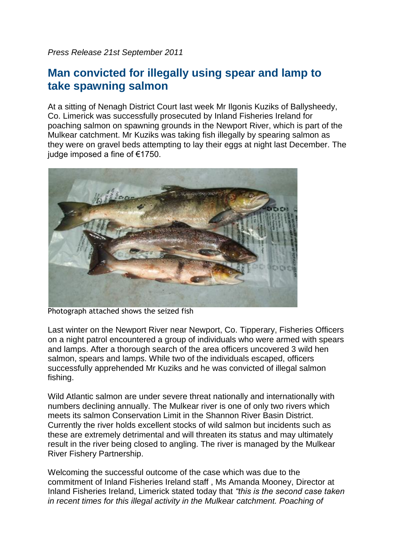*Press Release 21st September 2011*

## **Man convicted for illegally using spear and lamp to take spawning salmon**

At a sitting of Nenagh District Court last week Mr Ilgonis Kuziks of Ballysheedy, Co. Limerick was successfully prosecuted by Inland Fisheries Ireland for poaching salmon on spawning grounds in the Newport River, which is part of the Mulkear catchment. Mr Kuziks was taking fish illegally by spearing salmon as they were on gravel beds attempting to lay their eggs at night last December. The judge imposed a fine of €1750.



Photograph attached shows the seized fish

Last winter on the Newport River near Newport, Co. Tipperary, Fisheries Officers on a night patrol encountered a group of individuals who were armed with spears and lamps. After a thorough search of the area officers uncovered 3 wild hen salmon, spears and lamps. While two of the individuals escaped, officers successfully apprehended Mr Kuziks and he was convicted of illegal salmon fishing.

Wild Atlantic salmon are under severe threat nationally and internationally with numbers declining annually. The Mulkear river is one of only two rivers which meets its salmon Conservation Limit in the Shannon River Basin District. Currently the river holds excellent stocks of wild salmon but incidents such as these are extremely detrimental and will threaten its status and may ultimately result in the river being closed to angling. The river is managed by the Mulkear River Fishery Partnership.

Welcoming the successful outcome of the case which was due to the commitment of Inland Fisheries Ireland staff , Ms Amanda Mooney, Director at Inland Fisheries Ireland, Limerick stated today that *"this is the second case taken in recent times for this illegal activity in the Mulkear catchment. Poaching of*